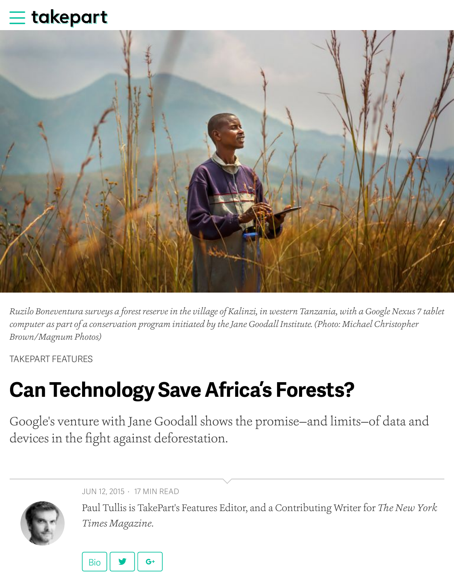

*Ruzilo Boneventura surveys a forest reserve in the village of Kalinzi, in western Tanzania, with a Google Nexus 7 tablet computer as part of a conservation program initiated by the Jane Goodall Institute. (Photo: Michael Christopherry) Brown/Magnum Photos)*

TAKEPART FEATURES

# **Can Technology Save Africa's Forests?**

Google's venture with Jane Goodall shows the promise–and limits–of d [devices in the fi](http://www.takepart.com/features)ght against deforestation.



JUN 12, 2015 · 17 MIN READ

Paul Tullis is TakePart's Features Editor, and a Contributing Writer for *Ti Times Magazine*.

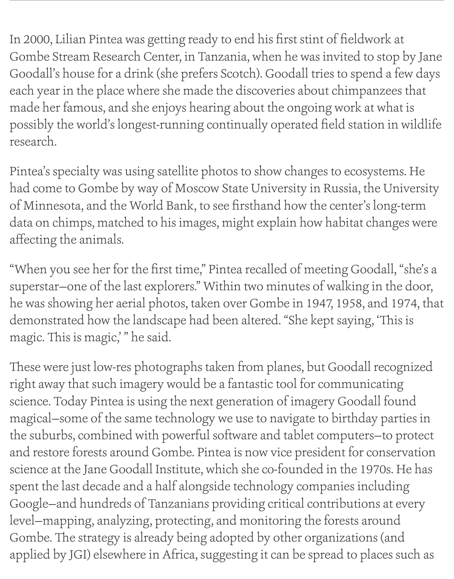In 2000, Lilian Pintea was getting ready to end his first stint of fieldwork at Gombe Stream Research Center, in Tanzania, when he was invited to stop by Jane Goodall's house for a drink (she prefers Scotch). Goodall tries to spend a few days each year in the place where she made the discoveries about chimpanzees that made her famous, and she enjoys hearing about the ongoing work at what is possibly the world's longest-running continually operated field station in wildlife research.

Pintea's specialty was using satellite photos to show changes to ecosystems. He had come to Gombe by way of Moscow State University in Russia, the University of Minnesota, and the World Bank, to see firsthand how the center's long-term data on chimps, matched to his images, might explain how habitat changes were affecting the animals.

"When you see her for the first time," Pintea recalled of meeting Goodall, "she's a superstar—one of the last explorers." Within two minutes of walking in the door, he was showing her aerial photos, taken over Gombe in 1947, 1958, and 1974, that demonstrated how the landscape had been altered. "She kept saying, 'This is magic. This is magic," he said.

These were just low-res photographs taken from planes, but Goodall recognized right away that such imagery would be a fantastic tool for communicating science. Today Pintea is using the next generation of imagery Goodall found magical—some of the same technology we use to navigate to birthday parties in the suburbs, combined with powerful software and tablet computers—to protect and restore forests around Gombe. Pintea is now vice president for conservation science at the Jane Goodall Institute, which she co-founded in the 1970s. He has spent the last decade and a half alongside technology companies including Google—and hundreds of Tanzanians providing critical contributions at every level—mapping, analyzing, protecting, and monitoring the forests around Gombe. The strategy is already being adopted by other organizations (and applied by JGI) elsewhere in Africa, suggesting it can be spread to places such as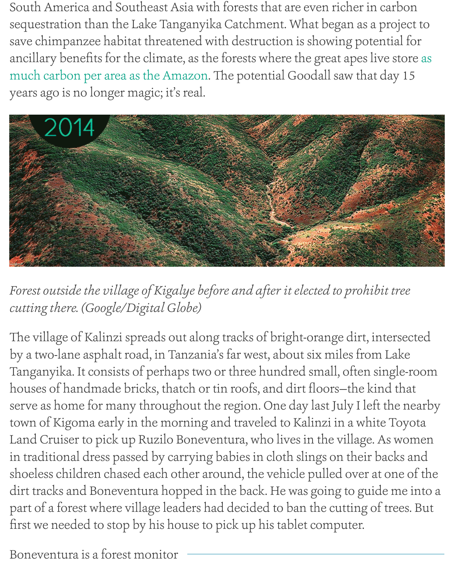$\frac{1}{2}$  day  $\frac{1}{2}$  or area as the Amazon. The potential  $\frac{1}{2}$  of that day, there a years ago is no longer magic; it's real.



Forest outside the village of Kigalye before and after it elected to prohibi *cutting there. (Google/Digital Globe)*

The village of Kalinzi spreads out along tracks of bright-orange dirt, int by a two-lane asphalt road, in Tanzania's far west, about six miles from Tanganyika. It consists of perhaps two or three hundred small, often sir houses of handmade bricks, thatch or tin roofs, and dirt floors-the kin serve as home for many throughout the region. One day last July I left to town of Kigoma early in the morning and traveled to Kalinzi in a white Land Cruiser to pick up Ruzilo Boneventura, who lives in the village. A in traditional dress passed by carrying babies in cloth slings on their ba shoeless children chased each other around, the vehicle pulled over at dirt tracks and Boneventura hopped in the back. He was going to guide part of a forest where village leaders had decided to ban the cutting of t first we needed to stop by his house to pick up his tablet computer.

Boneventura is a forest monitor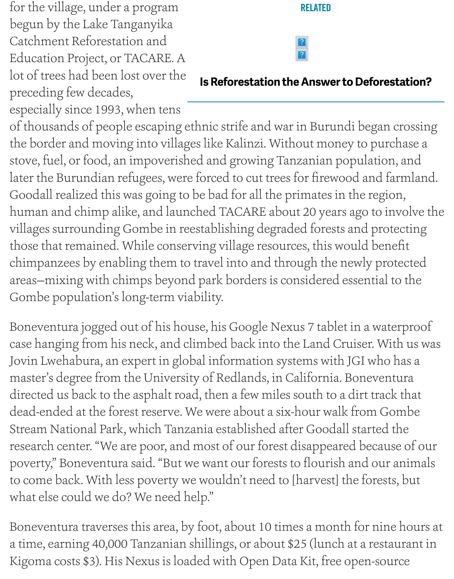lot of trees had been lost over the preceding few decades,

**Is Reforestation the Answer to Deforestation?**

especially since 1993, when tens

of thousands of people escaping ethnic strife and war in Burundi began the border and moving into villages like Kalinzi. Without money to pu stove, fuel, or food, an impoverished and growing Tanzanian population, later the Burundian refugees, were forced to cut trees for firewood and Goodall realized this was going to be bad for all the primates in the reg human and chimp alike, and launched TACARE about 20 years ago to villages surrounding Gombe in reestablishing degraded forests and pro those that remained. While conserving village resources, this would be chimpanzees by enabling them to travel into and through the newly pr areas-mixing with chimps beyond park borders is considered essential Gombe population's long-term viability.

Boneventura jogged out of his house, his Google Nexus 7 tablet in a water case hanging from his neck, and climbed back into the Land Cruiser. W Jovin Lwehabura, an expert in global information systems with JGI who master's degree from the University of Redlands, in California. Boneventural. directed us back to the asphalt road, then a few miles south to a dirt tra dead-ended at the forest reserve. We were about a six-hour walk from C Stream National Park, which Tanzania established after Goodall started research center. "We are poor, and most of our forest disappeared because poverty," Boneventura said. "But we want our forests to flourish and our to come back. With less poverty we wouldn't need to [harvest] the fores what else could we do? We need help."

Boneventura traverses this area, by foot, about 10 times a month for nin a time, earning 40,000 Tanzanian shillings, or about \$25 (lunch at a rest Kigoma costs \$3). His Nexus is loaded with Open Data Kit, free open-so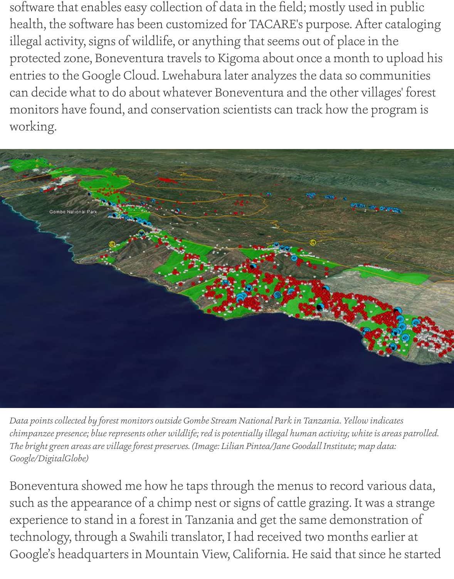software that enables easy collection of data in the field; mostly used in public health, the software has been customized for TACARE's purpose. After cataloging illegal activity, signs of wildlife, or anything that seems out of place in the protected zone, Boneventura travels to Kigoma about once a month to upload his entries to the Google Cloud. Lwehabura later analyzes the data so communities can decide what to do about whatever Boneventura and the other villages' forest monitors have found, and conservation scientists can track how the program is working.



*Data points collected by forest monitors outside Gombe Stream National Park in Tanzania. Yellow indicates chimpanzee presence; blue represents other wildlife; red is potentially illegal human activity; white is areas patrolled. Te bright green areas are village forest preserves. (Image: Lilian Pintea/Jane Goodall Institute; map data: Google/DigitalGlobe)*

Boneventura showed me how he taps through the menus to record various data, such as the appearance of a chimp nest or signs of cattle grazing. It was a strange experience to stand in a forest in Tanzania and get the same demonstration of technology, through a Swahili translator, I had received two months earlier at Google's headquarters in Mountain View, California. He said that since he started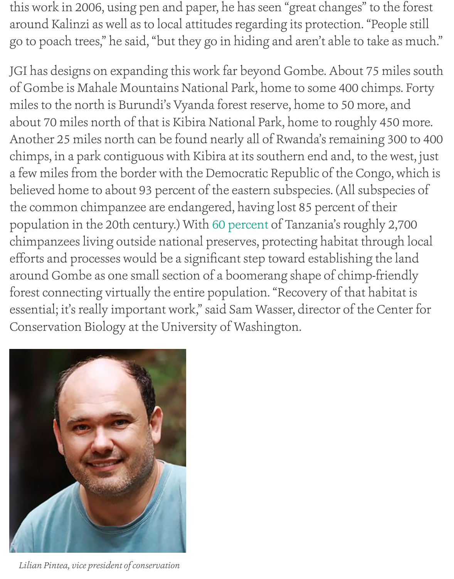of Gombe is Mahale Mountains National Park, home to some 400 chim miles to the north is Burundi's Vyanda forest reserve, home to 50 more about 70 miles north of that is Kibira National Park, home to roughly 4 Another 25 miles north can be found nearly all of Rwanda's remaining chimps, in a park contiguous with Kibira at its southern end and, to the a few miles from the border with the Democratic Republic of the Congo believed home to about 93 percent of the eastern subspecies. (All subsp the common chimpanzee are endangered, having lost 85 percent of the population in the 20th century.) With 60 percent of Tanzania's roughly chimpanzees living outside national preserves, protecting habitat through efforts and processes would be a significant step toward establishing the around Gombe as one small section of a boomerang shape of chimp-fri forest connecting virtually the entire population. "Recovery of that habitat is essential; it's really important work," s[aid Sam Wa](http://static1.1.sqspcdn.com/static/f/1200343/20456530/1348925838260/ECCAP.pdf?token=s4%2BVVP2%2BwpPez38W3BcPETELtE8%3D)sser, director of the C Conservation Biology at the University of Washington.



*Lilian Pintea, vice president of conservation*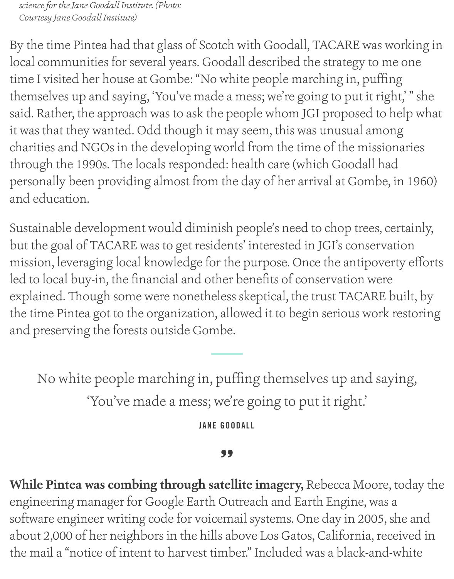*science for the Jane Goodall Institute. (Photo: Courtesy Jane Goodall Institute)*

By the time Pintea had that glass of Scotch with Goodall, TACARE was working in local communities for several years. Goodall described the strategy to me one time I visited her house at Gombe: "No white people marching in, puffing themselves up and saying, 'You've made a mess; we're going to put it right,' " she said. Rather, the approach was to ask the people whom JGI proposed to help what it was that they wanted. Odd though it may seem, this was unusual among charities and NGOs in the developing world from the time of the missionaries through the 1990s. The locals responded: health care (which Goodall had personally been providing almost from the day of her arrival at Gombe, in 1960) and education.

Sustainable development would diminish people's need to chop trees, certainly, but the goal of TACARE was to get residents' interested in JGI's conservation mission, leveraging local knowledge for the purpose. Once the antipoverty efforts led to local buy-in, the financial and other benefits of conservation were explained. Though some were nonetheless skeptical, the trust TACARE built, by the time Pintea got to the organization, allowed it to begin serious work restoring and preserving the forests outside Gombe.

No white people marching in, puffing themselves up and saying, 'You've made a mess; we're going to put it right.'

**JANE GOODALL**

### 99

**While Pintea was combing through satellite imagery,** Rebecca Moore, today the engineering manager for Google Earth Outreach and Earth Engine, was a software engineer writing code for voicemail systems. One day in 2005, she and about 2,000 of her neighbors in the hills above Los Gatos, California, received in the mail a "notice of intent to harvest timber." Included was a black-and-white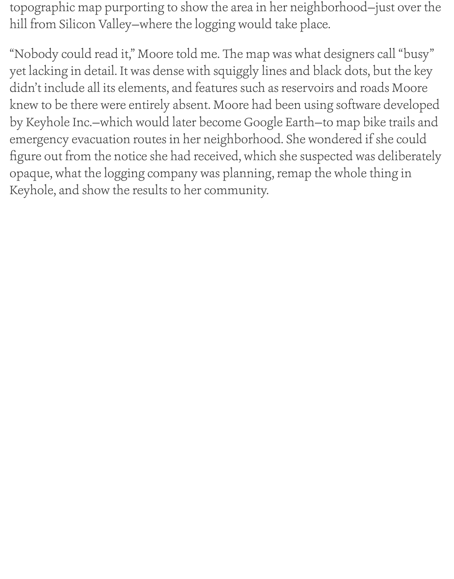topographic map purporting to show the area in her neighborhood—just over the hill from Silicon Valley—where the logging would take place.

"Nobody could read it," Moore told me. The map was what designers call "busy" yet lacking in detail. It was dense with squiggly lines and black dots, but the key didn't include all its elements, and features such as reservoirs and roads Moore knew to be there were entirely absent. Moore had been using software developed by Keyhole Inc.—which would later become Google Earth—to map bike trails and emergency evacuation routes in her neighborhood. She wondered if she could figure out from the notice she had received, which she suspected was deliberately opaque, what the logging company was planning, remap the whole thing in Keyhole, and show the results to her community.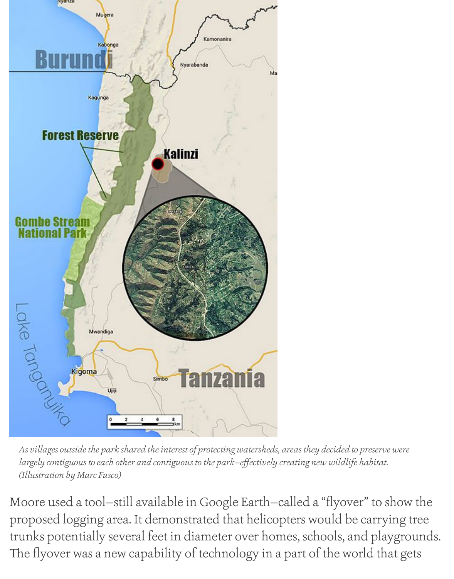

*As villages outside the park shared the interest of protecting watersheds, areas they decided to preserve were largely contiguous to each other and contiguous to the park—effectively creating new wildlife habitat. (Illustration by Marc Fusco)*

Moore used a tool—still available in Google Earth—called a "flyover" to show the proposed logging area. It demonstrated that helicopters would be carrying tree trunks potentially several feet in diameter over homes, schools, and playgrounds. The flyover was a new capability of technology in a part of the world that gets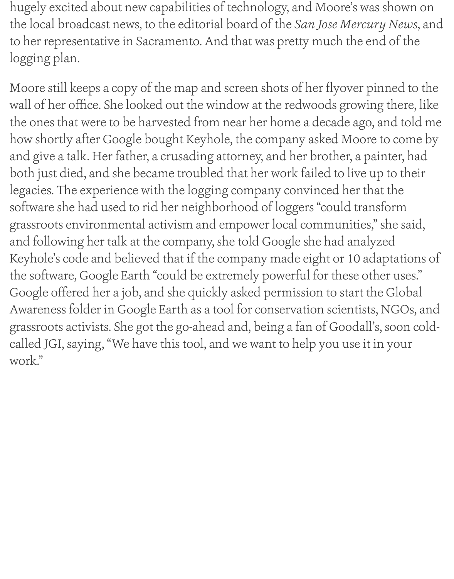hugely excited about new capabilities of technology, and Moore's was shown on the local broadcast news, to the editorial board of the *San Jose Mercury News*, and to her representative in Sacramento. And that was pretty much the end of the logging plan.

Moore still keeps a copy of the map and screen shots of her flyover pinned to the wall of her office. She looked out the window at the redwoods growing there, like the ones that were to be harvested from near her home a decade ago, and told me how shortly after Google bought Keyhole, the company asked Moore to come by and give a talk. Her father, a crusading attorney, and her brother, a painter, had both just died, and she became troubled that her work failed to live up to their legacies. The experience with the logging company convinced her that the software she had used to rid her neighborhood of loggers "could transform grassroots environmental activism and empower local communities," she said, and following her talk at the company, she told Google she had analyzed Keyhole's code and believed that if the company made eight or 10 adaptations of the software, Google Earth "could be extremely powerful for these other uses." Google offered her a job, and she quickly asked permission to start the Global Awareness folder in Google Earth as a tool for conservation scientists, NGOs, and grassroots activists. She got the go-ahead and, being a fan of Goodall's, soon coldcalled JGI, saying, "We have this tool, and we want to help you use it in your work."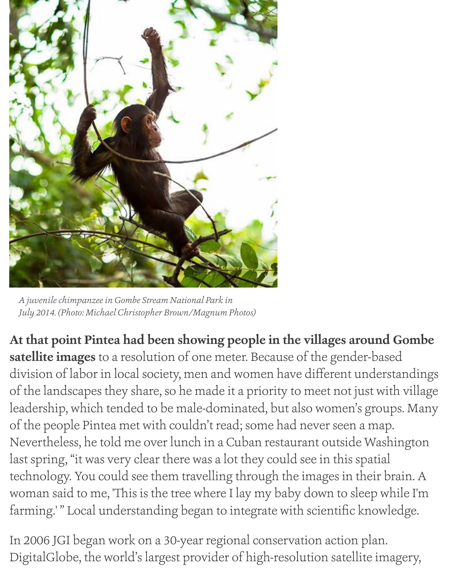

*A juvenile chimpanzee in Gombe Stream National Park in July 2014. (Photo: Michael Christopher Brown/Magnum Photos)*

**At that point Pintea had been showing people in the villages around Gombe satellite images** to a resolution of one meter. Because of the gender-based division of labor in local society, men and women have different understandings of the landscapes they share, so he made it a priority to meet not just with village leadership, which tended to be male-dominated, but also women's groups. Many of the people Pintea met with couldn't read; some had never seen a map. Nevertheless, he told me over lunch in a Cuban restaurant outside Washington last spring, "it was very clear there was a lot they could see in this spatial technology. You could see them travelling through the images in their brain. A woman said to me, 'This is the tree where I lay my baby down to sleep while I'm farming.' " Local understanding began to integrate with scientific knowledge.

In 2006 JGI began work on a 30-year regional conservation action plan. DigitalGlobe, the world's largest provider of high-resolution satellite imagery,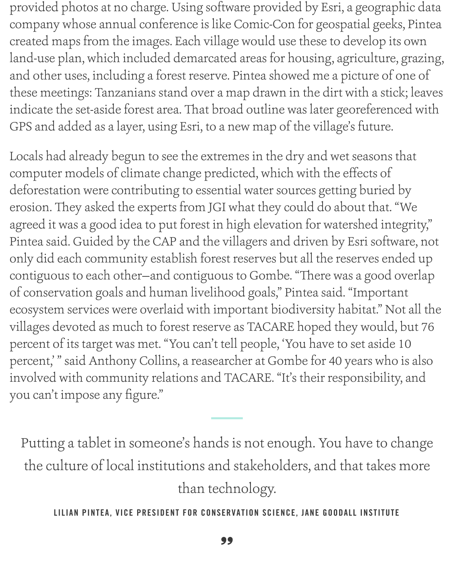provided photos at no charge. Using software provided by Esri, a geographic data company whose annual conference is like Comic-Con for geospatial geeks, Pintea created maps from the images. Each village would use these to develop its own land-use plan, which included demarcated areas for housing, agriculture, grazing, and other uses, including a forest reserve. Pintea showed me a picture of one of these meetings: Tanzanians stand over a map drawn in the dirt with a stick; leaves indicate the set-aside forest area. That broad outline was later georeferenced with GPS and added as a layer, using Esri, to a new map of the village's future.

Locals had already begun to see the extremes in the dry and wet seasons that computer models of climate change predicted, which with the effects of deforestation were contributing to essential water sources getting buried by erosion. They asked the experts from JGI what they could do about that. "We agreed it was a good idea to put forest in high elevation for watershed integrity," Pintea said. Guided by the CAP and the villagers and driven by Esri software, not only did each community establish forest reserves but all the reserves ended up contiguous to each other-and contiguous to Gombe. "There was a good overlap of conservation goals and human livelihood goals," Pintea said. "Important ecosystem services were overlaid with important biodiversity habitat." Not all the villages devoted as much to forest reserve as TACARE hoped they would, but 76 percent of its target was met. "You can't tell people, 'You have to set aside 10 percent,' " said Anthony Collins, a reasearcher at Gombe for 40 years who is also involved with community relations and TACARE. "It's their responsibility, and you can't impose any figure."

Putting a tablet in someone's hands is not enough. You have to change the culture of local institutions and stakeholders, and that takes more than technology.

**LILIAN PINTEA, VICE PRESIDENT FOR CONSERVATION SCIENCE, JANE GOODALL INSTITUTE**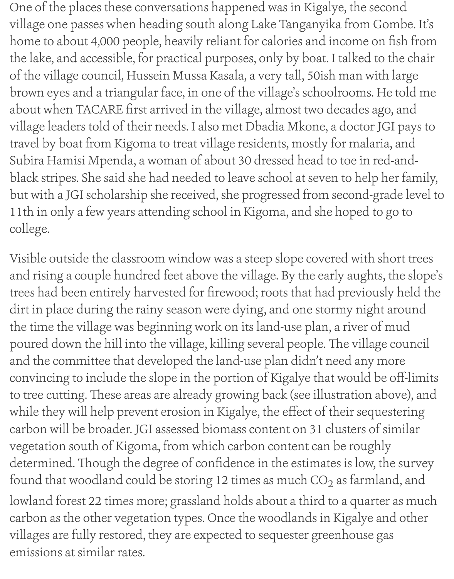One of the places these conversations happened was in Kigalye, the second village one passes when heading south along Lake Tanganyika from Gombe. It's home to about 4,000 people, heavily reliant for calories and income on fish from the lake, and accessible, for practical purposes, only by boat. I talked to the chair of the village council, Hussein Mussa Kasala, a very tall, 50ish man with large brown eyes and a triangular face, in one of the village's schoolrooms. He told me about when TACARE first arrived in the village, almost two decades ago, and village leaders told of their needs. I also met Dbadia Mkone, a doctor JGI pays to travel by boat from Kigoma to treat village residents, mostly for malaria, and Subira Hamisi Mpenda, a woman of about 30 dressed head to toe in red-andblack stripes. She said she had needed to leave school at seven to help her family, but with a JGI scholarship she received, she progressed from second-grade level to 11th in only a few years attending school in Kigoma, and she hoped to go to college.

Visible outside the classroom window was a steep slope covered with short trees and rising a couple hundred feet above the village. By the early aughts, the slope's trees had been entirely harvested for firewood; roots that had previously held the dirt in place during the rainy season were dying, and one stormy night around the time the village was beginning work on its land-use plan, a river of mud poured down the hill into the village, killing several people. The village council and the committee that developed the land-use plan didn't need any more convincing to include the slope in the portion of Kigalye that would be off-limits to tree cutting. These areas are already growing back (see illustration above), and while they will help prevent erosion in Kigalye, the effect of their sequestering carbon will be broader. JGI assessed biomass content on 31 clusters of similar vegetation south of Kigoma, from which carbon content can be roughly determined. Though the degree of confidence in the estimates is low, the survey found that woodland could be storing 12 times as much  $CO<sub>2</sub>$  as farmland, and lowland forest 22 times more; grassland holds about a third to a quarter as much carbon as the other vegetation types. Once the woodlands in Kigalye and other villages are fully restored, they are expected to sequester greenhouse gas

emissions at similar rates.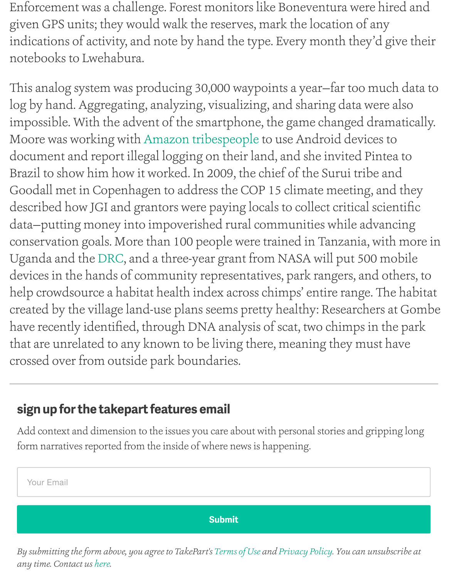This analog system was producing 30,000 waypoints a year-far too mu log by hand. Aggregating, analyzing, visualizing, and sharing data were impossible. With the advent of the smartphone, the game changed drain Moore was working with Amazon tribespeople to use Android devices document and report illegal logging on their land, and she invited Pint Brazil to show him how it worked. In 2009, the chief of the Surui tribe a Goodall met in Copenhagen to address the COP 15 climate meeting, an described how JGI and grantors were paying locals to collect critical sci data-putting money int[o impoverished rural c](https://www.takepart.com/feature/2014/10/30/amazon-tribes-chevron-lawsuit-ecuador-oil-pollution)ommunities while adva conservation goals. More than 100 people were trained in Tanzania, with Uganda and the DRC, and a three-year grant from NASA will put 500 n devices in the hands of community representatives, park rangers, and others, to help crowdsource a habitat health index across chimps' entire range. The created by the village land-use plans seems pretty healthy: Researchers have recently identified, through DNA analysis of scat, two chimps in t that are unrelate[d to a](http://www.janegoodall.org/gis-analyst-jane-goodall-institute-drc-program)ny known to be living there, meaning they must crossed over from outside park boundaries.

## **sign up for the takepart features email**

Add context and dimension to the issues you care about with personal stories and gripping form narratives reported from the inside of where news is happening.



*By submitting the form above, you agree to TakePart's Terms of Use and Privacy Policy. You can unsubscribe at any time. Contact us here.*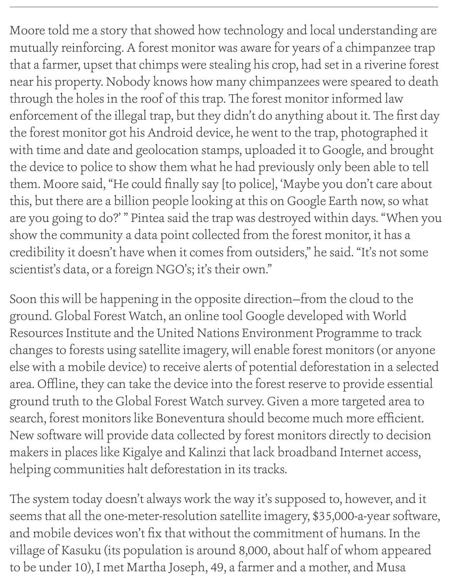Moore told me a story that showed how technology and local understanding are mutually reinforcing. A forest monitor was aware for years of a chimpanzee trap that a farmer, upset that chimps were stealing his crop, had set in a riverine forest near his property. Nobody knows how many chimpanzees were speared to death through the holes in the roof of this trap. The forest monitor informed law enforcement of the illegal trap, but they didn't do anything about it. The first day the forest monitor got his Android device, he went to the trap, photographed it with time and date and geolocation stamps, uploaded it to Google, and brought the device to police to show them what he had previously only been able to tell them. Moore said, "He could finally say [to police], 'Maybe you don't care about this, but there are a billion people looking at this on Google Earth now, so what are you going to do?' " Pintea said the trap was destroyed within days. "When you show the community a data point collected from the forest monitor, it has a credibility it doesn't have when it comes from outsiders," he said. "It's not some scientist's data, or a foreign NGO's; it's their own."

Soon this will be happening in the opposite direction—from the cloud to the ground. Global Forest Watch, an online tool Google developed with World Resources Institute and the United Nations Environment Programme to track changes to forests using satellite imagery, will enable forest monitors (or anyone else with a mobile device) to receive alerts of potential deforestation in a selected area. Offline, they can take the device into the forest reserve to provide essential ground truth to the Global Forest Watch survey. Given a more targeted area to search, forest monitors like Boneventura should become much more efficient. New software will provide data collected by forest monitors directly to decision makers in places like Kigalye and Kalinzi that lack broadband Internet access, helping communities halt deforestation in its tracks.

The system today doesn't always work the way it's supposed to, however, and it seems that all the one-meter-resolution satellite imagery, \$35,000-a-year software, and mobile devices won't fix that without the commitment of humans. In the village of Kasuku (its population is around 8,000, about half of whom appeared to be under 10), I met Martha Joseph, 49, a farmer and a mother, and Musa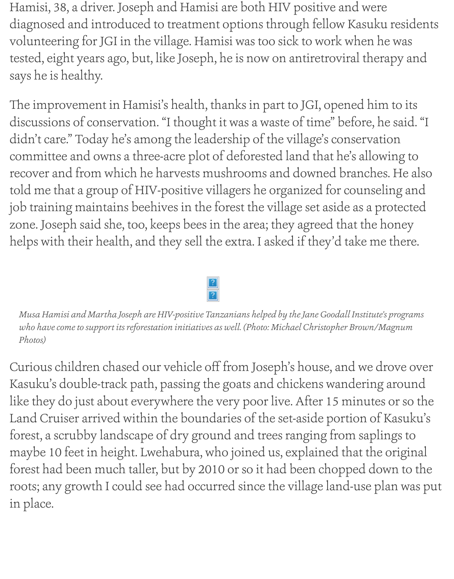Hamisi, 38, a driver. Joseph and Hamisi are both HIV positive and were diagnosed and introduced to treatment options through fellow Kasuku residents volunteering for JGI in the village. Hamisi was too sick to work when he was tested, eight years ago, but, like Joseph, he is now on antiretroviral therapy and says he is healthy.

The improvement in Hamisi's health, thanks in part to JGI, opened him to its discussions of conservation. "I thought it was a waste of time" before, he said. "I didn't care." Today he's among the leadership of the village's conservation committee and owns a three-acre plot of deforested land that he's allowing to recover and from which he harvests mushrooms and downed branches. He also told me that a group of HIV-positive villagers he organized for counseling and job training maintains beehives in the forest the village set aside as a protected zone. Joseph said she, too, keeps bees in the area; they agreed that the honey helps with their health, and they sell the extra. I asked if they'd take me there.



*Musa Hamisi and Martha Joseph are HIV-positive Tanzanians helped by the Jane Goodall Institute's programs who have come to support its reforestation initiatives as well. (Photo: Michael Christopher Brown/Magnum Photos)*

Curious children chased our vehicle off from Joseph's house, and we drove over Kasuku's double-track path, passing the goats and chickens wandering around like they do just about everywhere the very poor live. After 15 minutes or so the Land Cruiser arrived within the boundaries of the set-aside portion of Kasuku's forest, a scrubby landscape of dry ground and trees ranging from saplings to maybe 10 feet in height. Lwehabura, who joined us, explained that the original forest had been much taller, but by 2010 or so it had been chopped down to the roots; any growth I could see had occurred since the village land-use plan was put in place.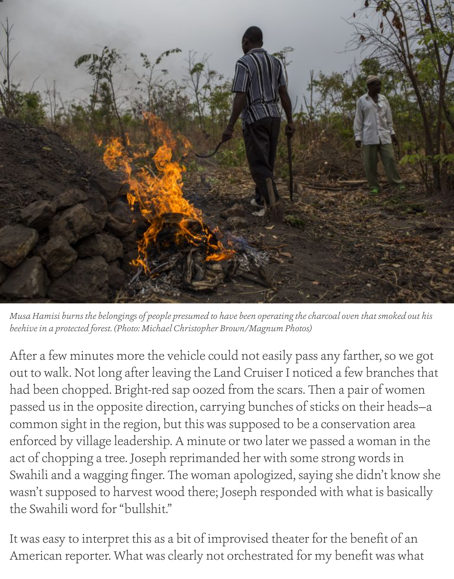

*Musa Hamisi burns the belongings of people presumed to have been operating the charcoal oven that smoked out his beehive in a protected forest. (Photo: Michael Christopher Brown/Magnum Photos)*

After a few minutes more the vehicle could not easily pass any farther, so we got out to walk. Not long after leaving the Land Cruiser I noticed a few branches that had been chopped. Bright-red sap oozed from the scars. Then a pair of women passed us in the opposite direction, carrying bunches of sticks on their heads—a common sight in the region, but this was supposed to be a conservation area enforced by village leadership. A minute or two later we passed a woman in the act of chopping a tree. Joseph reprimanded her with some strong words in Swahili and a wagging finger. The woman apologized, saying she didn't know she wasn't supposed to harvest wood there; Joseph responded with what is basically the Swahili word for "bullshit."

It was easy to interpret this as a bit of improvised theater for the benefit of an American reporter. What was clearly not orchestrated for my benefit was what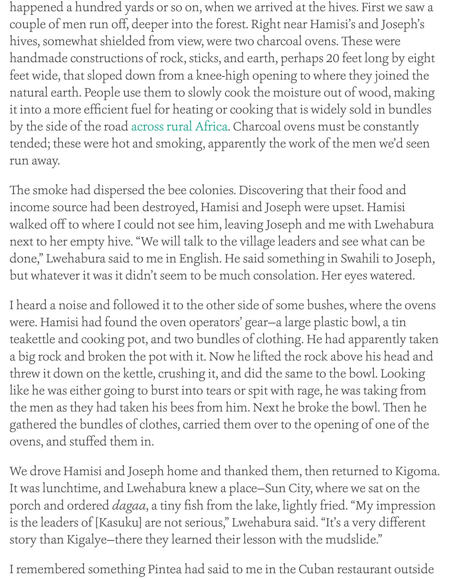feet wide, that sloped down from a knee-high opening to where they joined the natural earth. People use them to slowly cook the moisture out of wood it into a more efficient fuel for heating or cooking that is widely sold in by the side of the road across rural Africa. Charcoal ovens must be constantly tended; these were hot and smoking, apparently the work of the men w run away.

The smoke had dispersed the bee colonies. Discovering that their food income source had be[en destroyed, Hami](http://www.takepart.com/article/2014/04/27/reforestation-answer-deforestation)si and Joseph were upset. Har walked off to where I could not see him, leaving Joseph and me with Lv next to her empty hive. "We will talk to the village leaders and see what done," Lwehabura said to me in English. He said something in Swahili t but whatever it was it didn't seem to be much consolation. Her eyes wat

I heard a noise and followed it to the other side of some bushes, where were. Hamisi had found the oven operators' gear-a large plastic bowl, a teakettle and cooking pot, and two bundles of clothing. He had appare a big rock and broken the pot with it. Now he lifted the rock above his l threw it down on the kettle, crushing it, and did the same to the bowl. I like he was either going to burst into tears or spit with rage, he was taking the men as they had taken his bees from him. Next he broke the bowl. The gathered the bundles of clothes, carried them over to the opening of or ovens, and stuffed them in.

We drove Hamisi and Joseph home and thanked them, then returned to It was lunchtime, and Lwehabura knew a place-Sun City, where we sat porch and ordered *dagaa*, a tiny fish from the lake, lightly fried. "My in is the leaders of [Kasuku] are not serious," Lwehabura said. "It's a very d story than Kigalye—there they learned their lesson with the mudslide."

I remembered something Pintea had said to me in the Cuban restaurant